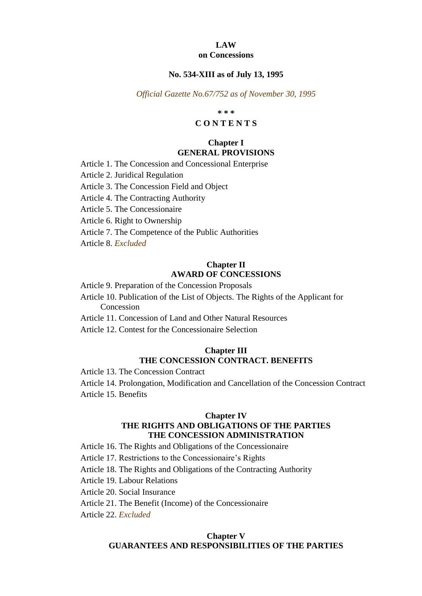#### **LAW on Concessions**

## **No. 534-XIII as of July 13, 1995**

*Official Gazette No.67/752 as of November 30, 1995*

**\* \* \***

# **C O N T E N T S**

# **Chapter I GENERAL PROVISIONS**

Article 1. The Concession and Concessional Enterprise

Article 2. Juridical Regulation

Article 3. The Concession Field and Object

Article 4. The Contracting Authority

Article 5. The Concessionaire

Article 6. Right to Ownership

Article 7. The Competence of the Public Authorities

Article 8. *Excluded*

## **Chapter II AWARD OF CONCESSIONS**

Article 9. Preparation of the Concession Proposals

Article 10. Publication of the List of Objects. The Rights of the Applicant for Concession

Article 11. Concession of Land and Other Natural Resources

Article 12. Contest for the Concessionaire Selection

## **Chapter III THE CONCESSION CONTRACT. BENEFITS**

Article 13. The Concession Contract

Article 14. Prolongation, Modification and Cancellation of the Concession Contract Article 15. Benefits

## **Chapter IV THE RIGHTS AND OBLIGATIONS OF THE PARTIES THE CONCESSION ADMINISTRATION**

Article 16. The Rights and Obligations of the Concessionaire

Article 17. Restrictions to the Concessionaire's Rights

Article 18. The Rights and Obligations of the Contracting Authority

Article 19. Labour Relations

Article 20. Social Insurance

Article 21. The Benefit (Income) of the Concessionaire

Article 22. *Excluded*

#### **Chapter V**

#### **GUARANTEES AND RESPONSIBILITIES OF THE PARTIES**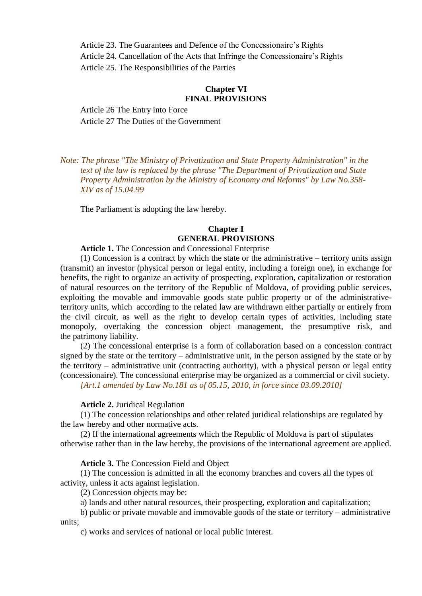Article 23. The Guarantees and Defence of the Concessionaire's Rights Article 24. Cancellation of the Acts that Infringe the Concessionaire's Rights Article 25. The Responsibilities of the Parties

# **Chapter VI FINAL PROVISIONS**

Article 26 The Entry into Force Article 27 The Duties of the Government

*Note: The phrase "The Ministry of Privatization and State Property Administration" in the text of the law is replaced by the phrase "The Department of Privatization and State Property Administration by the Ministry of Economy and Reforms" by Law No.358- XIV as of 15.04.99*

The Parliament is adopting the law hereby.

# **Chapter I GENERAL PROVISIONS**

**Article 1.** The Concession and Concessional Enterprise

(1) Concession is a contract by which the state or the administrative – territory units assign (transmit) an investor (physical person or legal entity, including a foreign one), in exchange for benefits, the right to organize an activity of prospecting, exploration, capitalization or restoration of natural resources on the territory of the Republic of Moldova, of providing public services, exploiting the movable and immovable goods state public property or of the administrativeterritory units, which according to the related law are withdrawn either partially or entirely from the civil circuit, as well as the right to develop certain types of activities, including state monopoly, overtaking the concession object management, the presumptive risk, and the patrimony liability.

(2) The concessional enterprise is a form of collaboration based on a concession contract signed by the state or the territory – administrative unit, in the person assigned by the state or by the territory – administrative unit (contracting authority), with a physical person or legal entity (concessionaire). The concessional enterprise may be organized as a commercial or civil society.

*[Art.1 amended by Law No.181 as of 05.15, 2010, in force since 03.09.2010]*

#### **Article 2.** Juridical Regulation

(1) The concession relationships and other related juridical relationships are regulated by the law hereby and other normative acts.

(2) If the international agreements which the Republic of Moldova is part of stipulates otherwise rather than in the law hereby, the provisions of the international agreement are applied.

#### **Article 3.** The Concession Field and Object

(1) The concession is admitted in all the economy branches and covers all the types of activity, unless it acts against legislation.

(2) Concession objects may be:

a) lands and other natural resources, their prospecting, exploration and capitalization;

b) public or private movable and immovable goods of the state or territory – administrative units;

c) works and services of national or local public interest.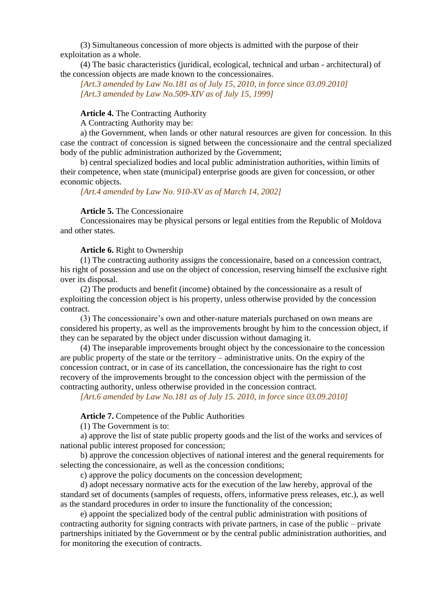(3) Simultaneous concession of more objects is admitted with the purpose of their exploitation as a whole.

(4) The basic characteristics (juridical, ecological, technical and urban - architectural) of the concession objects are made known to the concessionaires.

*[Art.3 amended by Law No.181 as of July 15, 2010, in force since 03.09.2010] [Art.3 amended by Law No.509-XIV as of July 15, 1999]*

## **Article 4.** The Contracting Authority

A Contracting Authority may be:

a) the Government, when lands or other natural resources are given for concession. In this case the contract of concession is signed between the concessionaire and the central specialized body of the public administration authorized by the Government;

b) central specialized bodies and local public administration authorities, within limits of their competence, when state (municipal) enterprise goods are given for concession, or other economic objects.

*[Art.4 amended by Law No. 910-XV as of March 14, 2002]*

#### **Article 5.** The Concessionaire

Concessionaires may be physical persons or legal entities from the Republic of Moldova and other states.

#### **Article 6.** Right to Ownership

(1) The contracting authority assigns the concessionaire, based on a concession contract, his right of possession and use on the object of concession, reserving himself the exclusive right over its disposal.

(2) The products and benefit (income) obtained by the concessionaire as a result of exploiting the concession object is his property, unless otherwise provided by the concession contract.

(3) The concessionaire's own and other-nature materials purchased on own means are considered his property, as well as the improvements brought by him to the concession object, if they can be separated by the object under discussion without damaging it.

(4) The inseparable improvements brought object by the concessionaire to the concession are public property of the state or the territory – administrative units. On the expiry of the concession contract, or in case of its cancellation, the concessionaire has the right to cost recovery of the improvements brought to the concession object with the permission of the contracting authority, unless otherwise provided in the concession contract.

*[Art.6 amended by Law No.181 as of July 15. 2010, in force since 03.09.2010]*

**Article 7.** Competence of the Public Authorities

(1) The Government is to:

a) approve the list of state public property goods and the list of the works and services of national public interest proposed for concession;

b) approve the concession objectives of national interest and the general requirements for selecting the concessionaire, as well as the concession conditions;

c) approve the policy documents on the concession development;

d) adopt necessary normative acts for the execution of the law hereby, approval of the standard set of documents (samples of requests, offers, informative press releases, etc.), as well as the standard procedures in order to insure the functionality of the concession;

e) appoint the specialized body of the central public administration with positions of contracting authority for signing contracts with private partners, in case of the public – private partnerships initiated by the Government or by the central public administration authorities, and for monitoring the execution of contracts.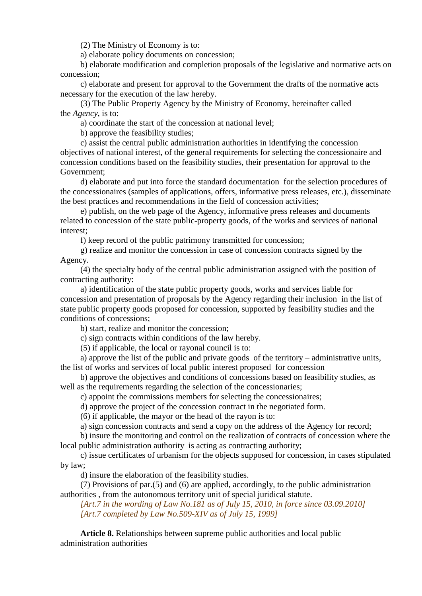(2) The Ministry of Economy is to:

a) elaborate policy documents on concession;

b) elaborate modification and completion proposals of the legislative and normative acts on concession;

c) elaborate and present for approval to the Government the drafts of the normative acts necessary for the execution of the law hereby.

(3) The Public Property Agency by the Ministry of Economy, hereinafter called the *Agency*, is to:

a) coordinate the start of the concession at national level;

b) approve the feasibility studies;

c) assist the central public administration authorities in identifying the concession objectives of national interest, of the general requirements for selecting the concessionaire and concession conditions based on the feasibility studies, their presentation for approval to the Government;

d) elaborate and put into force the standard documentation for the selection procedures of the concessionaires (samples of applications, offers, informative press releases, etc.), disseminate the best practices and recommendations in the field of concession activities;

e) publish, on the web page of the Agency, informative press releases and documents related to concession of the state public-property goods, of the works and services of national interest;

f) keep record of the public patrimony transmitted for concession;

g) realize and monitor the concession in case of concession contracts signed by the Agency.

(4) the specialty body of the central public administration assigned with the position of contracting authority:

a) identification of the state public property goods, works and services liable for concession and presentation of proposals by the Agency regarding their inclusion in the list of state public property goods proposed for concession, supported by feasibility studies and the conditions of concessions;

b) start, realize and monitor the concession;

c) sign contracts within conditions of the law hereby.

(5) if applicable, the local or rayonal council is to:

a) approve the list of the public and private goods of the territory – administrative units, the list of works and services of local public interest proposed for concession

b) approve the objectives and conditions of concessions based on feasibility studies, as well as the requirements regarding the selection of the concessionaries;

c) appoint the commissions members for selecting the concessionaires;

d) approve the project of the concession contract in the negotiated form.

(6) if applicable, the mayor or the head of the rayon is to:

a) sign concession contracts and send a copy on the address of the Agency for record;

b) insure the monitoring and control on the realization of contracts of concession where the local public administration authority is acting as contracting authority;

c) issue certificates of urbanism for the objects supposed for concession, in cases stipulated by law;

d) insure the elaboration of the feasibility studies.

(7) Provisions of par.(5) and (6) are applied, accordingly, to the public administration authorities , from the autonomous territory unit of special juridical statute.

*[Art.7 in the wording of Law No.181 as of July 15, 2010, in force since 03.09.2010] [Art.7 completed by Law No.509-XIV as of July 15, 1999]*

**Article 8.** Relationships between supreme public authorities and local public administration authorities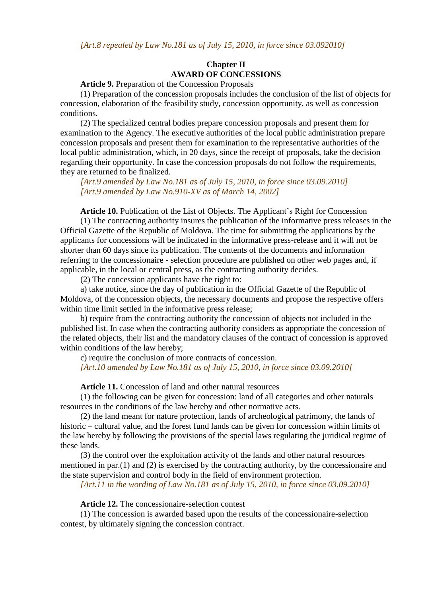*[Art.8 repealed by Law No.181 as of July 15, 2010, in force since 03.092010]*

## **Chapter II AWARD OF CONCESSIONS**

**Article 9.** Preparation of the Concession Proposals

(1) Preparation of the concession proposals includes the conclusion of the list of objects for concession, elaboration of the feasibility study, concession opportunity, as well as concession conditions.

(2) The specialized central bodies prepare concession proposals and present them for examination to the Agency. The executive authorities of the local public administration prepare concession proposals and present them for examination to the representative authorities of the local public administration, which, in 20 days, since the receipt of proposals, take the decision regarding their opportunity. In case the concession proposals do not follow the requirements, they are returned to be finalized.

*[Art.9 amended by Law No.181 as of July 15, 2010, in force since 03.09.2010] [Art.9 amended by Law No.910-XV as of March 14, 2002]*

**Article 10.** Publication of the List of Objects. The Applicant's Right for Concession

(1) The contracting authority insures the publication of the informative press releases in the Official Gazette of the Republic of Moldova. The time for submitting the applications by the applicants for concessions will be indicated in the informative press-release and it will not be shorter than 60 days since its publication. The contents of the documents and information referring to the concessionaire - selection procedure are published on other web pages and, if applicable, in the local or central press, as the contracting authority decides.

(2) The concession applicants have the right to:

a) take notice, since the day of publication in the Official Gazette of the Republic of Moldova, of the concession objects, the necessary documents and propose the respective offers within time limit settled in the informative press release;

b) require from the contracting authority the concession of objects not included in the published list. In case when the contracting authority considers as appropriate the concession of the related objects, their list and the mandatory clauses of the contract of concession is approved within conditions of the law hereby;

c) require the conclusion of more contracts of concession.

*[Art.10 amended by Law No.181 as of July 15, 2010, in force since 03.09.2010]*

**Article 11.** Concession of land and other natural resources

(1) the following can be given for concession: land of all categories and other naturals resources in the conditions of the law hereby and other normative acts.

(2) the land meant for nature protection, lands of archeological patrimony, the lands of historic – cultural value, and the forest fund lands can be given for concession within limits of the law hereby by following the provisions of the special laws regulating the juridical regime of these lands.

(3) the control over the exploitation activity of the lands and other natural resources mentioned in par.(1) and (2) is exercised by the contracting authority, by the concessionaire and the state supervision and control body in the field of environment protection.

*[Art.11 in the wording of Law No.181 as of July 15, 2010, in force since 03.09.2010]*

**Article 12.** The concessionaire-selection contest

(1) The concession is awarded based upon the results of the concessionaire-selection contest, by ultimately signing the concession contract.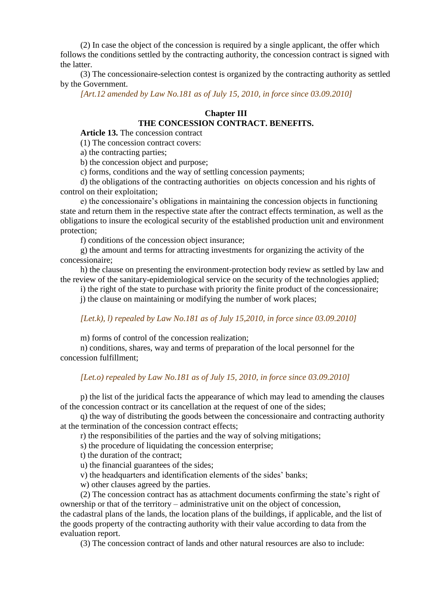(2) In case the object of the concession is required by a single applicant, the offer which follows the conditions settled by the contracting authority, the concession contract is signed with the latter.

(3) The concessionaire-selection contest is organized by the contracting authority as settled by the Government.

*[Art.12 amended by Law No.181 as of July 15, 2010, in force since 03.09.2010]*

## **Chapter III**

#### **THE CONCESSION CONTRACT. BENEFITS.**

**Article 13.** The concession contract

(1) The concession contract covers:

a) the contracting parties;

b) the concession object and purpose;

c) forms, conditions and the way of settling concession payments;

d) the obligations of the contracting authorities on objects concession and his rights of control on their exploitation;

e) the concessionaire's obligations in maintaining the concession objects in functioning state and return them in the respective state after the contract effects termination, as well as the obligations to insure the ecological security of the established production unit and environment protection;

f) conditions of the concession object insurance;

g) the amount and terms for attracting investments for organizing the activity of the concessionaire;

h) the clause on presenting the environment-protection body review as settled by law and the review of the sanitary-epidemiological service on the security of the technologies applied;

i) the right of the state to purchase with priority the finite product of the concessionaire;

j) the clause on maintaining or modifying the number of work places;

#### *[Let.k), l) repealed by Law No.181 as of July 15,2010, in force since 03.09.2010]*

m) forms of control of the concession realization;

n) conditions, shares, way and terms of preparation of the local personnel for the concession fulfillment;

# *[Let.o) repealed by Law No.181 as of July 15, 2010, in force since 03.09.2010]*

p) the list of the juridical facts the appearance of which may lead to amending the clauses of the concession contract or its cancellation at the request of one of the sides;

q) the way of distributing the goods between the concessionaire and contracting authority at the termination of the concession contract effects;

r) the responsibilities of the parties and the way of solving mitigations;

s) the procedure of liquidating the concession enterprise;

t) the duration of the contract;

u) the financial guarantees of the sides;

v) the headquarters and identification elements of the sides' banks;

w) other clauses agreed by the parties.

(2) The concession contract has as attachment documents confirming the state's right of ownership or that of the territory – administrative unit on the object of concession,

the cadastral plans of the lands, the location plans of the buildings, if applicable, and the list of the goods property of the contracting authority with their value according to data from the evaluation report.

(3) The concession contract of lands and other natural resources are also to include: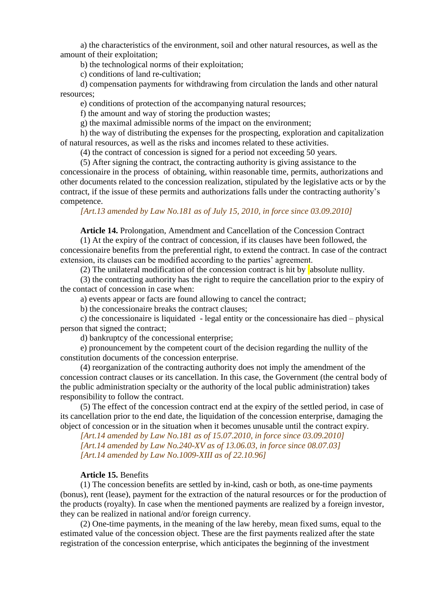a) the characteristics of the environment, soil and other natural resources, as well as the amount of their exploitation;

b) the technological norms of their exploitation;

c) conditions of land re-cultivation;

d) compensation payments for withdrawing from circulation the lands and other natural resources;

e) conditions of protection of the accompanying natural resources;

f) the amount and way of storing the production wastes;

g) the maximal admissible norms of the impact on the environment;

h) the way of distributing the expenses for the prospecting, exploration and capitalization of natural resources, as well as the risks and incomes related to these activities.

(4) the contract of concession is signed for a period not exceeding 50 years.

(5) After signing the contract, the contracting authority is giving assistance to the concessionaire in the process of obtaining, within reasonable time, permits, authorizations and other documents related to the concession realization, stipulated by the legislative acts or by the contract, if the issue of these permits and authorizations falls under the contracting authority's competence.

*[Art.13 amended by Law No.181 as of July 15, 2010, in force since 03.09.2010]*

## **Article 14.** Prolongation, Amendment and Cancellation of the Concession Contract

(1) At the expiry of the contract of concession, if its clauses have been followed, the concessionaire benefits from the preferential right, to extend the contract. In case of the contract extension, its clauses can be modified according to the parties' agreement.

(2) The unilateral modification of the concession contract is hit by absolute nullity.

(3) the contracting authority has the right to require the cancellation prior to the expiry of the contact of concession in case when:

a) events appear or facts are found allowing to cancel the contract;

b) the concessionaire breaks the contract clauses;

c) the concessionaire is liquidated - legal entity or the concessionaire has died – physical person that signed the contract;

d) bankruptcy of the concessional enterprise;

e) pronouncement by the competent court of the decision regarding the nullity of the constitution documents of the concession enterprise.

(4) reorganization of the contracting authority does not imply the amendment of the concession contract clauses or its cancellation. In this case, the Government (the central body of the public administration specialty or the authority of the local public administration) takes responsibility to follow the contract.

(5) The effect of the concession contract end at the expiry of the settled period, in case of its cancellation prior to the end date, the liquidation of the concession enterprise, damaging the object of concession or in the situation when it becomes unusable until the contract expiry.

*[Art.14 amended by Law No.181 as of 15.07.2010, in force since 03.09.2010] [Art.14 amended by Law No.240-XV as of 13.06.03, in force since 08.07.03] [Art.14 amended by Law No.1009-XIII as of 22.10.96]*

#### **Article 15.** Benefits

(1) The concession benefits are settled by in-kind, cash or both, as one-time payments (bonus), rent (lease), payment for the extraction of the natural resources or for the production of the products (royalty). In case when the mentioned payments are realized by a foreign investor, they can be realized in national and/or foreign currency.

(2) One-time payments, in the meaning of the law hereby, mean fixed sums, equal to the estimated value of the concession object. These are the first payments realized after the state registration of the concession enterprise, which anticipates the beginning of the investment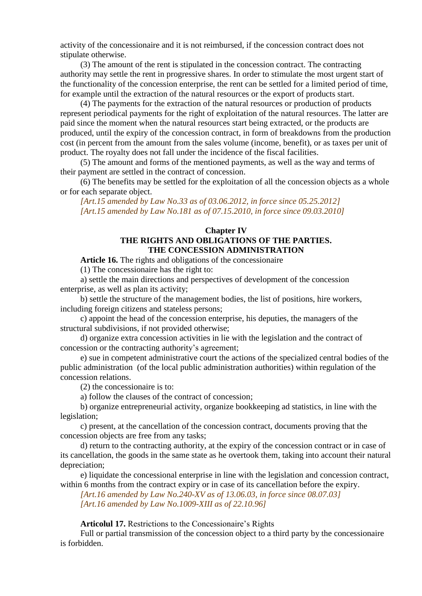activity of the concessionaire and it is not reimbursed, if the concession contract does not stipulate otherwise.

(3) The amount of the rent is stipulated in the concession contract. The contracting authority may settle the rent in progressive shares. In order to stimulate the most urgent start of the functionality of the concession enterprise, the rent can be settled for a limited period of time, for example until the extraction of the natural resources or the export of products start.

(4) The payments for the extraction of the natural resources or production of products represent periodical payments for the right of exploitation of the natural resources. The latter are paid since the moment when the natural resources start being extracted, or the products are produced, until the expiry of the concession contract, in form of breakdowns from the production cost (in percent from the amount from the sales volume (income, benefit), or as taxes per unit of product. The royalty does not fall under the incidence of the fiscal facilities.

(5) The amount and forms of the mentioned payments, as well as the way and terms of their payment are settled in the contract of concession.

(6) The benefits may be settled for the exploitation of all the concession objects as a whole or for each separate object.

*[Art.15 amended by Law No.33 as of 03.06.2012, in force since 05.25.2012] [Art.15 amended by Law No.181 as of 07.15.2010, in force since 09.03.2010]*

## **Chapter IV THE RIGHTS AND OBLIGATIONS OF THE PARTIES. THE CONCESSION ADMINISTRATION**

**Article 16.** The rights and obligations of the concessionaire

(1) The concessionaire has the right to:

a) settle the main directions and perspectives of development of the concession enterprise, as well as plan its activity;

b) settle the structure of the management bodies, the list of positions, hire workers, including foreign citizens and stateless persons;

c) appoint the head of the concession enterprise, his deputies, the managers of the structural subdivisions, if not provided otherwise;

d) organize extra concession activities in lie with the legislation and the contract of concession or the contracting authority's agreement;

e) sue in competent administrative court the actions of the specialized central bodies of the public administration (of the local public administration authorities) within regulation of the concession relations.

(2) the concessionaire is to:

a) follow the clauses of the contract of concession;

b) organize entrepreneurial activity, organize bookkeeping ad statistics, in line with the legislation;

c) present, at the cancellation of the concession contract, documents proving that the concession objects are free from any tasks;

d) return to the contracting authority, at the expiry of the concession contract or in case of its cancellation, the goods in the same state as he overtook them, taking into account their natural depreciation;

e) liquidate the concessional enterprise in line with the legislation and concession contract, within 6 months from the contract expiry or in case of its cancellation before the expiry.

*[Art.16 amended by Law No.240-XV as of 13.06.03, in force since 08.07.03] [Art.16 amended by Law No.1009-XIII as of 22.10.96]*

**Articolul 17.** Restrictions to the Concessionaire's Rights

Full or partial transmission of the concession object to a third party by the concessionaire is forbidden.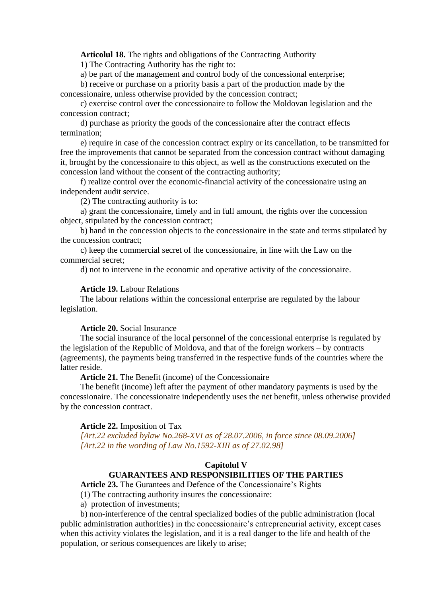**Articolul 18.** The rights and obligations of the Contracting Authority

1) The Contracting Authority has the right to:

a) be part of the management and control body of the concessional enterprise;

b) receive or purchase on a priority basis a part of the production made by the concessionaire, unless otherwise provided by the concession contract;

c) exercise control over the concessionaire to follow the Moldovan legislation and the concession contract;

d) purchase as priority the goods of the concessionaire after the contract effects termination;

e) require in case of the concession contract expiry or its cancellation, to be transmitted for free the improvements that cannot be separated from the concession contract without damaging it, brought by the concessionaire to this object, as well as the constructions executed on the concession land without the consent of the contracting authority;

f) realize control over the economic-financial activity of the concessionaire using an independent audit service.

(2) The contracting authority is to:

a) grant the concessionaire, timely and in full amount, the rights over the concession object, stipulated by the concession contract;

b) hand in the concession objects to the concessionaire in the state and terms stipulated by the concession contract;

c) keep the commercial secret of the concessionaire, in line with the Law on the commercial secret;

d) not to intervene in the economic and operative activity of the concessionaire.

#### **Article 19.** Labour Relations

The labour relations within the concessional enterprise are regulated by the labour legislation.

#### **Article 20.** Social Insurance

The social insurance of the local personnel of the concessional enterprise is regulated by the legislation of the Republic of Moldova, and that of the foreign workers – by contracts (agreements), the payments being transferred in the respective funds of the countries where the latter reside.

**Article 21.** The Benefit (income) of the Concessionaire

The benefit (income) left after the payment of other mandatory payments is used by the concessionaire. The concessionaire independently uses the net benefit, unless otherwise provided by the concession contract.

#### **Article 22.** Imposition of Tax

*[Art.22 excluded bylaw No.268-XVI as of 28.07.2006, in force since 08.09.2006] [Art.22 in the wording of Law No.1592-XIII as of 27.02.98]*

# **Capitolul V**

# **GUARANTEES AND RESPONSIBILITIES OF THE PARTIES**

**Article 23.** The Gurantees and Defence of the Concessionaire's Rights

- (1) The contracting authority insures the concessionaire:
- a) protection of investments;

b) non-interference of the central specialized bodies of the public administration (local public administration authorities) in the concessionaire's entrepreneurial activity, except cases when this activity violates the legislation, and it is a real danger to the life and health of the population, or serious consequences are likely to arise;